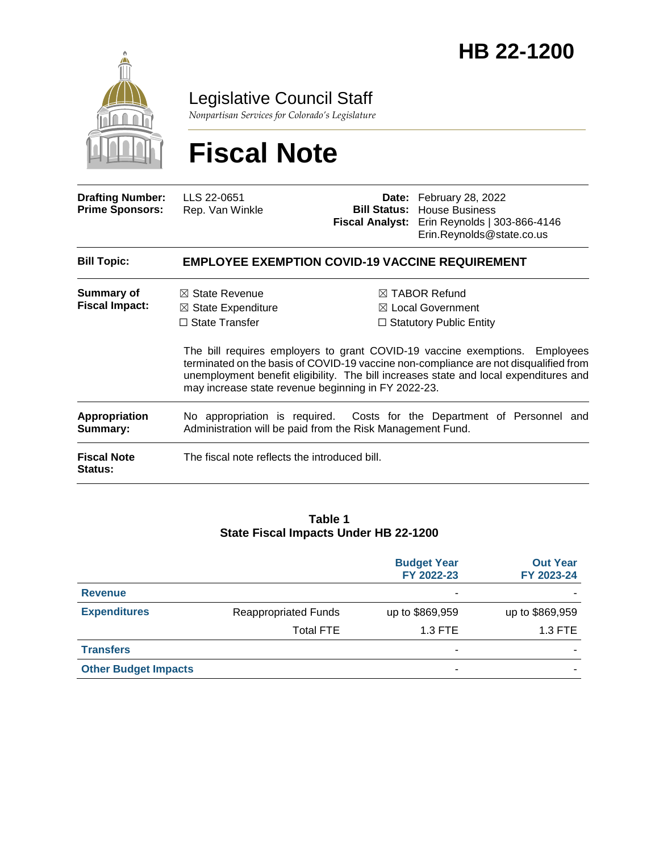

Legislative Council Staff

*Nonpartisan Services for Colorado's Legislature*

# **Fiscal Note**

| <b>Drafting Number:</b><br><b>Prime Sponsors:</b> | LLS 22-0651<br>Rep. Van Winkle                                                                                                             |  | <b>Date:</b> February 28, 2022<br><b>Bill Status: House Business</b><br>Fiscal Analyst: Erin Reynolds   303-866-4146<br>Erin.Reynolds@state.co.us                                                                                                                                                                                                          |  |  |
|---------------------------------------------------|--------------------------------------------------------------------------------------------------------------------------------------------|--|------------------------------------------------------------------------------------------------------------------------------------------------------------------------------------------------------------------------------------------------------------------------------------------------------------------------------------------------------------|--|--|
| <b>Bill Topic:</b>                                | <b>EMPLOYEE EXEMPTION COVID-19 VACCINE REQUIREMENT</b>                                                                                     |  |                                                                                                                                                                                                                                                                                                                                                            |  |  |
| Summary of<br><b>Fiscal Impact:</b>               | $\boxtimes$ State Revenue<br>$\boxtimes$ State Expenditure<br>$\Box$ State Transfer<br>may increase state revenue beginning in FY 2022-23. |  | $\boxtimes$ TABOR Refund<br>$\boxtimes$ Local Government<br>$\Box$ Statutory Public Entity<br>The bill requires employers to grant COVID-19 vaccine exemptions. Employees<br>terminated on the basis of COVID-19 vaccine non-compliance are not disqualified from<br>unemployment benefit eligibility. The bill increases state and local expenditures and |  |  |
| <b>Appropriation</b><br>Summary:                  | Administration will be paid from the Risk Management Fund.                                                                                 |  | No appropriation is required. Costs for the Department of Personnel and                                                                                                                                                                                                                                                                                    |  |  |
| <b>Fiscal Note</b><br>Status:                     | The fiscal note reflects the introduced bill.                                                                                              |  |                                                                                                                                                                                                                                                                                                                                                            |  |  |

#### **Table 1 State Fiscal Impacts Under HB 22-1200**

|                             |                             | <b>Budget Year</b><br>FY 2022-23 | <b>Out Year</b><br>FY 2023-24 |
|-----------------------------|-----------------------------|----------------------------------|-------------------------------|
| <b>Revenue</b>              |                             | -                                |                               |
| <b>Expenditures</b>         | <b>Reappropriated Funds</b> | up to \$869,959                  | up to \$869,959               |
|                             | <b>Total FTE</b>            | $1.3$ FTE                        | 1.3 FTE                       |
| <b>Transfers</b>            |                             | ۰                                |                               |
| <b>Other Budget Impacts</b> |                             | ۰                                |                               |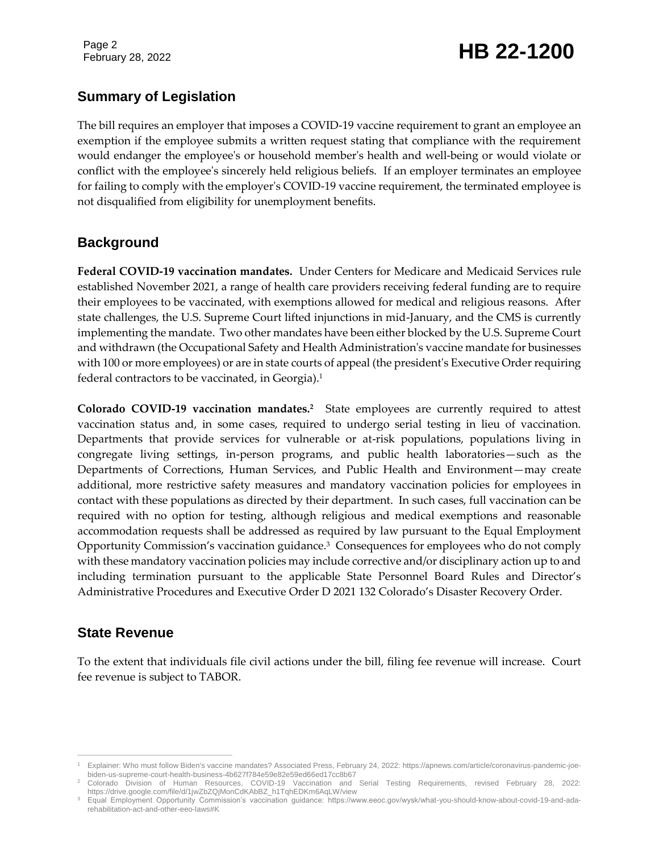Page 2

## February 28, 2022 **HB 22-1200**

### **Summary of Legislation**

The bill requires an employer that imposes a COVID-19 vaccine requirement to grant an employee an exemption if the employee submits a written request stating that compliance with the requirement would endanger the employee's or household member's health and well-being or would violate or conflict with the employee's sincerely held religious beliefs. If an employer terminates an employee for failing to comply with the employer's COVID-19 vaccine requirement, the terminated employee is not disqualified from eligibility for unemployment benefits.

#### **Background**

**Federal COVID-19 vaccination mandates.** Under Centers for Medicare and Medicaid Services rule established November 2021, a range of health care providers receiving federal funding are to require their employees to be vaccinated, with exemptions allowed for medical and religious reasons. After state challenges, the U.S. Supreme Court lifted injunctions in mid-January, and the CMS is currently implementing the mandate. Two other mandates have been either blocked by the U.S. Supreme Court and withdrawn (the Occupational Safety and Health Administration's vaccine mandate for businesses with 100 or more employees) or are in state courts of appeal (the president's Executive Order requiring federal contractors to be vaccinated, in Georgia).<sup>1</sup>

**Colorado COVID-19 vaccination mandates.<sup>2</sup>** State employees are currently required to attest vaccination status and, in some cases, required to undergo serial testing in lieu of vaccination. Departments that provide services for vulnerable or at-risk populations, populations living in congregate living settings, in-person programs, and public health laboratories—such as the Departments of Corrections, Human Services, and Public Health and Environment—may create additional, more restrictive safety measures and mandatory vaccination policies for employees in contact with these populations as directed by their department. In such cases, full vaccination can be required with no option for testing, although religious and medical exemptions and reasonable accommodation requests shall be addressed as required by law pursuant to the Equal Employment Opportunity Commission's vaccination guidance.<sup>3</sup> Consequences for employees who do not comply with these mandatory vaccination policies may include corrective and/or disciplinary action up to and including termination pursuant to the applicable State Personnel Board Rules and Director's Administrative Procedures and Executive Order D 2021 132 Colorado's Disaster Recovery Order.

#### **State Revenue**

To the extent that individuals file civil actions under the bill, filing fee revenue will increase. Court fee revenue is subject to TABOR.

 $\overline{a}$ <sup>1</sup> Explainer: Who must follow Biden's vaccine mandates? Associated Press, February 24, 2022: https://apnews.com/article/coronavirus-pandemic-joebiden-us-supreme-court-health-business-4b627f784e59e82e59ed66ed17cc8b67

<sup>2</sup> Colorado Division of Human Resources, COVID-19 Vaccination and Serial Testing Requirements, revised February 28, 2022: https://drive.google.com/file/d/1jwZbZQjMonCdKAbBZ\_h1TqhEDKm6AqLW/view

<sup>3</sup> Equal Employment Opportunity Commission's vaccination guidance: https://www.eeoc.gov/wysk/what-you-should-know-about-covid-19-and-adarehabilitation-act-and-other-eeo-laws#K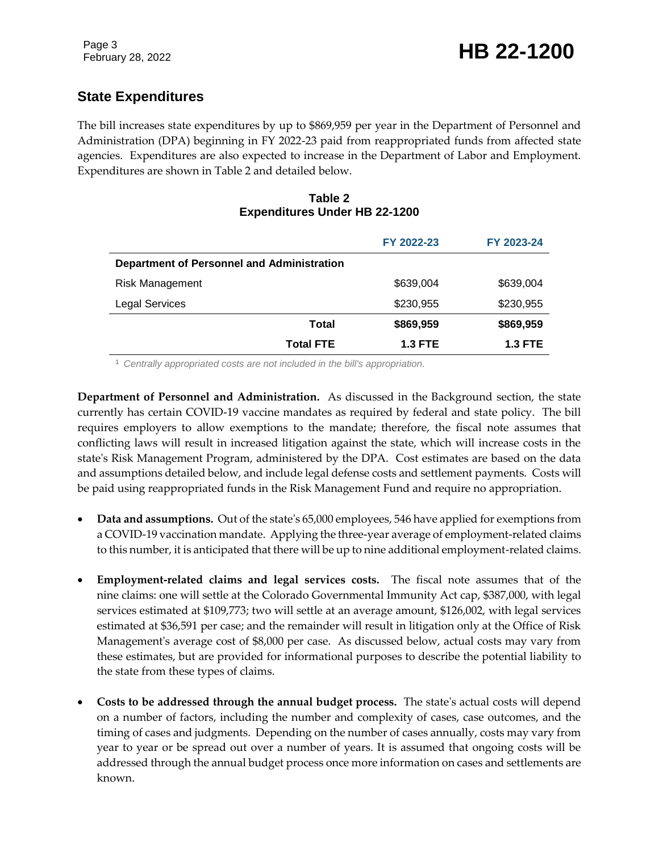### **State Expenditures**

The bill increases state expenditures by up to \$869,959 per year in the Department of Personnel and Administration (DPA) beginning in FY 2022-23 paid from reappropriated funds from affected state agencies. Expenditures are also expected to increase in the Department of Labor and Employment. Expenditures are shown in Table 2 and detailed below.

#### **Table 2 Expenditures Under HB 22-1200**

|                                            |                  | FY 2022-23     | FY 2023-24     |
|--------------------------------------------|------------------|----------------|----------------|
| Department of Personnel and Administration |                  |                |                |
| <b>Risk Management</b>                     |                  | \$639,004      | \$639,004      |
| <b>Legal Services</b>                      |                  | \$230,955      | \$230,955      |
|                                            | Total            | \$869,959      | \$869,959      |
|                                            | <b>Total FTE</b> | <b>1.3 FTE</b> | <b>1.3 FTE</b> |

<sup>1</sup> *Centrally appropriated costs are not included in the bill's appropriation.*

**Department of Personnel and Administration.** As discussed in the Background section, the state currently has certain COVID-19 vaccine mandates as required by federal and state policy. The bill requires employers to allow exemptions to the mandate; therefore, the fiscal note assumes that conflicting laws will result in increased litigation against the state, which will increase costs in the state's Risk Management Program, administered by the DPA. Cost estimates are based on the data and assumptions detailed below, and include legal defense costs and settlement payments. Costs will be paid using reappropriated funds in the Risk Management Fund and require no appropriation.

- **Data and assumptions.** Out of the state's 65,000 employees, 546 have applied for exemptions from a COVID-19 vaccination mandate. Applying the three-year average of employment-related claims to this number, it is anticipated that there will be up to nine additional employment-related claims.
- **Employment-related claims and legal services costs.** The fiscal note assumes that of the nine claims: one will settle at the Colorado Governmental Immunity Act cap, \$387,000, with legal services estimated at \$109,773; two will settle at an average amount, \$126,002, with legal services estimated at \$36,591 per case; and the remainder will result in litigation only at the Office of Risk Management's average cost of \$8,000 per case. As discussed below, actual costs may vary from these estimates, but are provided for informational purposes to describe the potential liability to the state from these types of claims.
- **Costs to be addressed through the annual budget process.** The state's actual costs will depend on a number of factors, including the number and complexity of cases, case outcomes, and the timing of cases and judgments. Depending on the number of cases annually, costs may vary from year to year or be spread out over a number of years. It is assumed that ongoing costs will be addressed through the annual budget process once more information on cases and settlements are known.